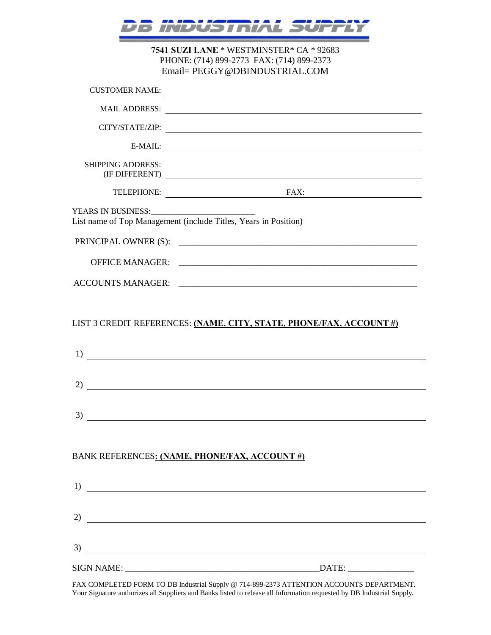|                          | IS I NIA                                                                                                                                                               |  |
|--------------------------|------------------------------------------------------------------------------------------------------------------------------------------------------------------------|--|
|                          | 7541 SUZI LANE * WESTMINSTER * CA * 92683<br>PHONE: (714) 899-2773 FAX: (714) 899-2373<br>Email= PEGGY@DBINDUSTRIAL.COM                                                |  |
| <b>CUSTOMER NAME:</b>    | <u> 1989 - Johann Barnett, fransk politiker (</u>                                                                                                                      |  |
|                          |                                                                                                                                                                        |  |
|                          |                                                                                                                                                                        |  |
| E-MAIL:                  |                                                                                                                                                                        |  |
| <b>SHIPPING ADDRESS:</b> |                                                                                                                                                                        |  |
|                          | FAX:<br>TELEPHONE:                                                                                                                                                     |  |
|                          | List name of Top Management (include Titles, Years in Position)                                                                                                        |  |
|                          | PRINCIPAL OWNER (S):                                                                                                                                                   |  |
| <b>OFFICE MANAGER:</b>   |                                                                                                                                                                        |  |
|                          |                                                                                                                                                                        |  |
| 1)                       | LIST 3 CREDIT REFERENCES: (NAME, CITY, STATE, PHONE/FAX, ACCOUNT #)<br><u> 1980 - Johann Barn, mars ar breithinn ar breithinn ar breithinn an t-Alban ann an 1980.</u> |  |
| 2)                       |                                                                                                                                                                        |  |
| 3)                       | <u> 1989 - Johann Stein, marwolaethau a bhann an t-Amhain Aonaich an t-Amhain Aonaich an t-Amhain Aonaich an t-A</u>                                                   |  |
|                          | BANK REFERENCES: (NAME, PHONE/FAX, ACCOUNT #)                                                                                                                          |  |
|                          |                                                                                                                                                                        |  |
|                          | $\overline{2)}$ $\overline{\phantom{2}}$                                                                                                                               |  |
| 3)                       | <u> 1989 - Johann Barn, mars et al. (b. 1989)</u>                                                                                                                      |  |
|                          |                                                                                                                                                                        |  |

FAX COMPLETED FORM TO DB Industrial Supply @ 714-899-2373 ATTENTION ACCOUNTS DEPARTMENT. Your Signature authorizes all Suppliers and Banks listed to release all Information requested by DB Industrial Supply.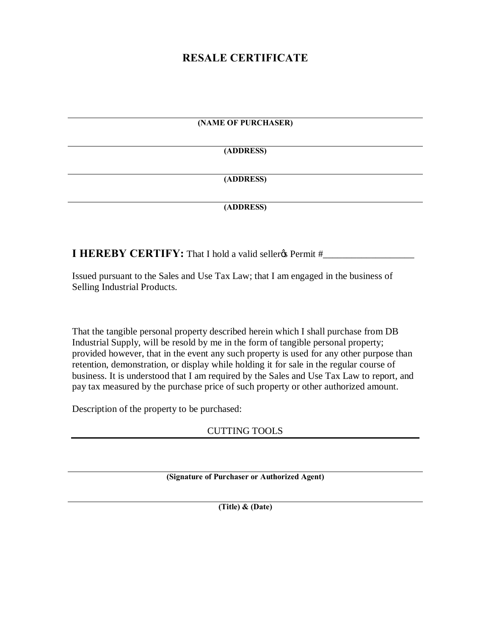## **RESALE CERTIFICATE**

## **(NAME OF PURCHASER)**

**(ADDRESS)**

## **(ADDRESS)**

## **(ADDRESS)**

**I HEREBY CERTIFY:** That I hold a valid sellerg Permit #\_\_\_\_\_\_\_\_\_\_\_\_\_\_\_\_\_\_\_\_\_\_\_\_\_\_

Issued pursuant to the Sales and Use Tax Law; that I am engaged in the business of Selling Industrial Products.

That the tangible personal property described herein which I shall purchase from DB Industrial Supply, will be resold by me in the form of tangible personal property; provided however, that in the event any such property is used for any other purpose than retention, demonstration, or display while holding it for sale in the regular course of business. It is understood that I am required by the Sales and Use Tax Law to report, and pay tax measured by the purchase price of such property or other authorized amount.

Description of the property to be purchased:

CUTTING TOOLS

**(Signature of Purchaser or Authorized Agent)**

**(Title) & (Date)**